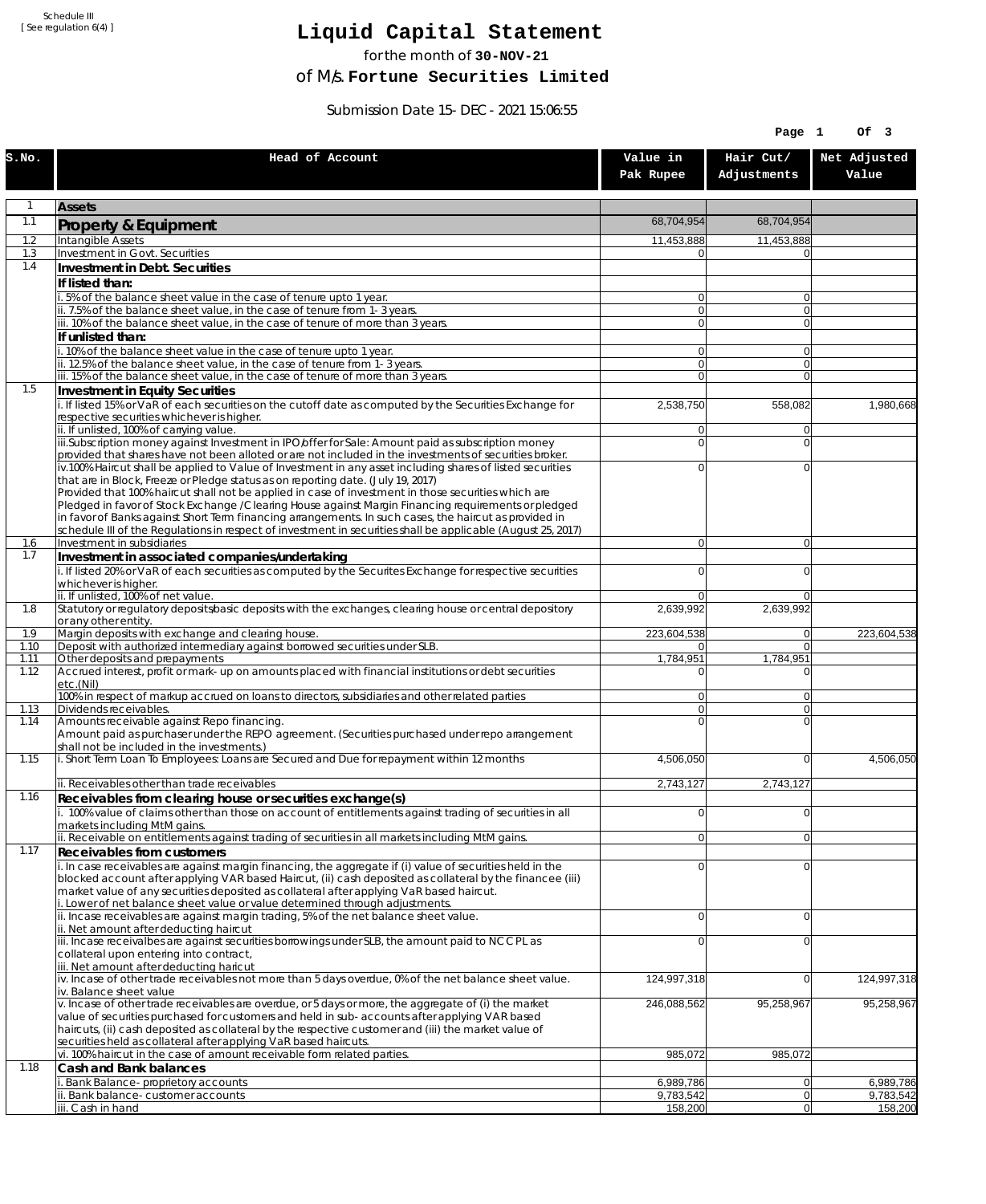Schedule III [ See regulation 6(4) ]

## **Liquid Capital Statement**

for the month of **30-NOV-21**

of M/s. **Fortune Securities Limited**

Submission Date 15-DEC-2021 15:06:55

|              |                                                                                                                                                                                                                        |                        | Page 1                   | Of 3                   |
|--------------|------------------------------------------------------------------------------------------------------------------------------------------------------------------------------------------------------------------------|------------------------|--------------------------|------------------------|
| S.NO.        | Head of Account                                                                                                                                                                                                        | Value in<br>Pak Rupee  | Hair Cut/<br>Adjustments | Net Adjusted<br>Value  |
| $\mathbf{1}$ | <b>Assets</b>                                                                                                                                                                                                          |                        |                          |                        |
| 1.1          | Property & Equipment                                                                                                                                                                                                   | 68,704,954             | 68,704,954               |                        |
| 1.2          | Intangible Assets                                                                                                                                                                                                      | 11,453,888             | 11,453,888               |                        |
| 1.3<br>1.4   | Investment in Govt. Securities<br>Investment in Debt. Securities                                                                                                                                                       | 0                      |                          |                        |
|              | If listed than:                                                                                                                                                                                                        |                        |                          |                        |
|              | i. 5% of the balance sheet value in the case of tenure upto 1 year.                                                                                                                                                    | $\overline{0}$         | $\overline{0}$           |                        |
|              | ii. 7.5% of the balance sheet value, in the case of tenure from 1-3 years.                                                                                                                                             | 0                      | $\overline{0}$           |                        |
|              | iii. 10% of the balance sheet value, in the case of tenure of more than 3 years.<br>If unlisted than:                                                                                                                  | $\overline{0}$         | $\overline{0}$           |                        |
|              | i. 10% of the balance sheet value in the case of tenure upto 1 year.                                                                                                                                                   | 0                      | $\Omega$                 |                        |
|              | ii. 12.5% of the balance sheet value, in the case of tenure from 1-3 years.                                                                                                                                            | $\overline{0}$         | $\overline{0}$           |                        |
| 1.5          | iii. 15% of the balance sheet value, in the case of tenure of more than 3 years.<br>Investment in Equity Securities                                                                                                    | $\overline{0}$         | $\Omega$                 |                        |
|              | i. If listed 15% or VaR of each securities on the cutoff date as computed by the Securities Exchange for                                                                                                               | 2,538,750              | 558,082                  | 1,980,668              |
|              | respective securities whichever is higher.                                                                                                                                                                             |                        |                          |                        |
|              | ii. If unlisted, 100% of carrying value.<br>iii.Subscription money against Investment in IPO/offer for Sale: Amount paid as subscription money                                                                         | 0<br>0                 | $\Omega$<br>$\Omega$     |                        |
|              | provided that shares have not been alloted or are not included in the investments of securities broker.                                                                                                                |                        |                          |                        |
|              | iv.100% Haircut shall be applied to Value of Investment in any asset including shares of listed securities                                                                                                             | 0                      | $\Omega$                 |                        |
|              | that are in Block, Freeze or Pledge status as on reporting date. (July 19, 2017)<br>Provided that 100% haircut shall not be applied in case of investment in those securities which are                                |                        |                          |                        |
|              | Pledged in favor of Stock Exchange / Clearing House against Margin Financing requirements or pledged                                                                                                                   |                        |                          |                        |
|              | in favor of Banks against Short Term financing arrangements. In such cases, the haircut as provided in<br>schedule III of the Regulations in respect of investment in securities shall be applicable (August 25, 2017) |                        |                          |                        |
| 1.6          | Investment in subsidiaries                                                                                                                                                                                             | $\overline{0}$         | $\overline{0}$           |                        |
| 1.7          | Investment in associated companies/undertaking                                                                                                                                                                         |                        |                          |                        |
|              | i. If listed 20% or VaR of each securities as computed by the Securites Exchange for respective securities                                                                                                             | 0                      | $\Omega$                 |                        |
|              | whichever is higher.<br>ii. If unlisted, 100% of net value.                                                                                                                                                            | 0                      | $\Omega$                 |                        |
| 1.8          | Statutory or regulatory deposits/basic deposits with the exchanges, clearing house or central depository                                                                                                               | 2,639,992              | 2,639,992                |                        |
| 1.9          | or any other entity.<br>Margin deposits with exchange and clearing house.                                                                                                                                              | 223,604,538            | 0                        | 223,604,538            |
| 1.10         | Deposit with authorized intermediary against borrowed securities under SLB.                                                                                                                                            | 01                     | $\overline{0}$           |                        |
| 1.11<br>1.12 | Other deposits and prepayments<br>Accrued interest, profit or mark-up on amounts placed with financial institutions or debt securities                                                                                 | 1,784,951<br>$\Omega$  | 1,784,951<br>$\Omega$    |                        |
|              | etc.(Nil)                                                                                                                                                                                                              |                        |                          |                        |
|              | 100% in respect of markup accrued on loans to directors, subsidiaries and other related parties                                                                                                                        | 0                      | $\Omega$                 |                        |
| 1.13<br>1.14 | Dividends receivables.<br>Amounts receivable against Repo financing.                                                                                                                                                   | $\overline{0}$<br>0    | $\Omega$<br>$\Omega$     |                        |
|              | Amount paid as purchaser under the REPO agreement. (Securities purchased under repo arrangement                                                                                                                        |                        |                          |                        |
| 1.15         | shall not be included in the investments.)<br>i. Short Term Loan To Employees: Loans are Secured and Due for repayment within 12 months                                                                                | 4,506,050              | $\overline{0}$           | 4,506,050              |
|              |                                                                                                                                                                                                                        |                        |                          |                        |
|              | ii. Receivables other than trade receivables                                                                                                                                                                           | 2,743,127              | 2,743,127                |                        |
| 1.16         | Receivables from clearing house or securities exchange(s)<br>i. 100% value of claims other than those on account of entitlements against trading of securities in all                                                  | $\mathbf 0$            | 0                        |                        |
|              | markets including MtM gains.                                                                                                                                                                                           |                        |                          |                        |
|              | ii. Receivable on entitlements against trading of securities in all markets including MtM gains.                                                                                                                       | $\overline{0}$         | 0                        |                        |
| 1.17         | <b>Receivables from customers</b><br>i. In case receivables are against margin financing, the aggregate if (i) value of securities held in the                                                                         | $\mathbf 0$            | $\Omega$                 |                        |
|              | blocked account after applying VAR based Haircut, (ii) cash deposited as collateral by the financee (iii)                                                                                                              |                        |                          |                        |
|              | market value of any securities deposited as collateral after applying VaR based haircut.                                                                                                                               |                        |                          |                        |
|              | i. Lower of net balance sheet value or value determined through adjustments.<br>ii. Incase receivables are against margin trading, 5% of the net balance sheet value.                                                  | $\mathbf 0$            | $\overline{0}$           |                        |
|              | ii. Net amount after deducting haircut                                                                                                                                                                                 |                        |                          |                        |
|              | iii. Incase receivalbes are against securities borrowings under SLB, the amount paid to NCCPL as<br>collateral upon entering into contract,                                                                            | 0                      | $\Omega$                 |                        |
|              | iii. Net amount after deducting haricut                                                                                                                                                                                |                        |                          |                        |
|              | $iv.$ Incase of other trade receivables not more than 5 days overdue, 0% of the net balance sheet value.                                                                                                               | 124,997,318            | 0                        | 124,997,318            |
|              | iv. Balance sheet value<br>v. Incase of other trade receivables are overdue, or 5 days or more, the aggregate of (i) the market                                                                                        | 246,088,562            | 95,258,967               | 95,258,967             |
|              | value of securities purchased for customers and held in sub-accounts after applying VAR based                                                                                                                          |                        |                          |                        |
|              | haircuts, (ii) cash deposited as collateral by the respective customer and (iii) the market value of<br>securities held as collateral after applying VaR based haircuts.                                               |                        |                          |                        |
|              | vi. 100% haircut in the case of amount receivable form related parties.                                                                                                                                                | 985,072                | 985,072                  |                        |
| 1.18         | Cash and Bank balances                                                                                                                                                                                                 |                        |                          |                        |
|              | i. Bank Balance-proprietory accounts<br>ii. Bank balance-customer accounts                                                                                                                                             | 6,989,786<br>9,783,542 | 0 <br> 0                 | 6,989,786<br>9,783,542 |
|              | iii. Cash in hand                                                                                                                                                                                                      | 158,200                | 0                        | 158,200                |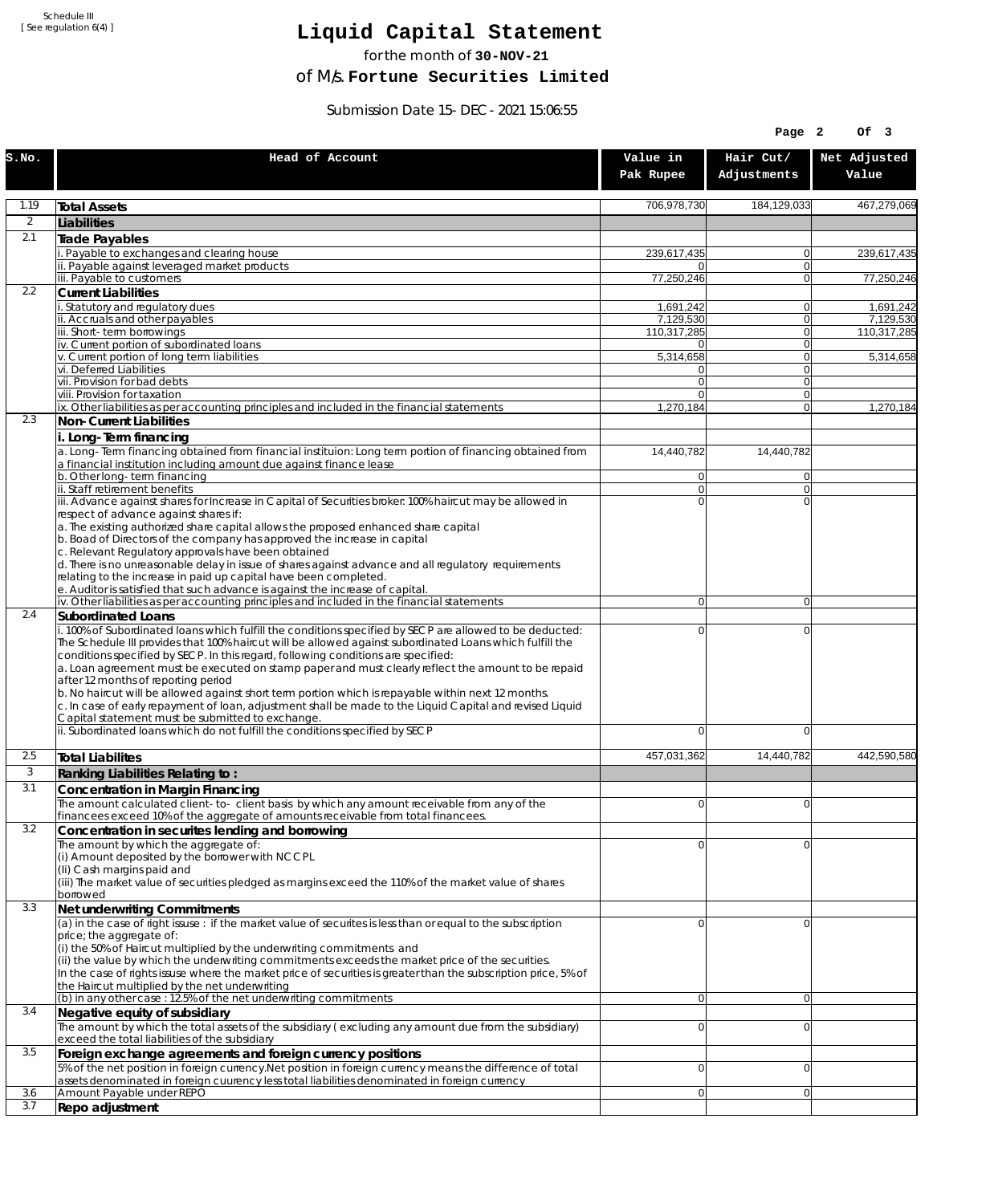Schedule III [ See regulation 6(4) ]

## **Liquid Capital Statement**

for the month of **30-NOV-21**

of M/s. **Fortune Securities Limited**

Submission Date 15-DEC-2021 15:06:55

|       |                                                                                                                                                                                                                                                                                                                                                                                                                                                                                                                                                                                                                                                                         |                                  | Page 2                   | Of 3                   |
|-------|-------------------------------------------------------------------------------------------------------------------------------------------------------------------------------------------------------------------------------------------------------------------------------------------------------------------------------------------------------------------------------------------------------------------------------------------------------------------------------------------------------------------------------------------------------------------------------------------------------------------------------------------------------------------------|----------------------------------|--------------------------|------------------------|
| S.NO. | Head of Account                                                                                                                                                                                                                                                                                                                                                                                                                                                                                                                                                                                                                                                         | Value in<br>Pak Rupee            | Hair Cut/<br>Adjustments | Net Adjusted<br>Value  |
| 1.19  | <b>Total Assets</b>                                                                                                                                                                                                                                                                                                                                                                                                                                                                                                                                                                                                                                                     | 706,978,730                      | 184,129,033              | 467,279,069            |
| 2     | Liabilities                                                                                                                                                                                                                                                                                                                                                                                                                                                                                                                                                                                                                                                             |                                  |                          |                        |
| 2.1   | <b>Trade Payables</b>                                                                                                                                                                                                                                                                                                                                                                                                                                                                                                                                                                                                                                                   |                                  |                          |                        |
|       | Payable to exchanges and clearing house<br>ii. Payable against leveraged market products                                                                                                                                                                                                                                                                                                                                                                                                                                                                                                                                                                                | 239,617,435<br>0                 | $\Omega$<br>$\Omega$     | 239,617,435            |
|       | iii. Payable to customers                                                                                                                                                                                                                                                                                                                                                                                                                                                                                                                                                                                                                                               | 77,250,246                       | $\Omega$                 | 77,250,246             |
| 2.2   | <b>Current Liabilities</b>                                                                                                                                                                                                                                                                                                                                                                                                                                                                                                                                                                                                                                              |                                  |                          |                        |
|       | Statutory and regulatory dues<br>ii. Accruals and other payables                                                                                                                                                                                                                                                                                                                                                                                                                                                                                                                                                                                                        | 1,691,242<br>7,129,530           | $\Omega$<br>$\Omega$     | 1,691,242<br>7.129.530 |
|       | iii. Short-term borrowings                                                                                                                                                                                                                                                                                                                                                                                                                                                                                                                                                                                                                                              | 110,317,285                      | 0                        | 110,317,285            |
|       | iv. Current portion of subordinated loans                                                                                                                                                                                                                                                                                                                                                                                                                                                                                                                                                                                                                               | $\overline{0}$                   | $\Omega$                 |                        |
|       | v. Current portion of long term liabilities<br>vi. Deferred Liabilities                                                                                                                                                                                                                                                                                                                                                                                                                                                                                                                                                                                                 | 5,314,658<br>0                   | $\Omega$<br> 0           | 5,314,658              |
|       | vii. Provision for bad debts                                                                                                                                                                                                                                                                                                                                                                                                                                                                                                                                                                                                                                            | $\Omega$                         | $\mathbf 0$              |                        |
|       | viii. Provision for taxation<br>ix. Other liabilities as per accounting principles and included in the financial statements                                                                                                                                                                                                                                                                                                                                                                                                                                                                                                                                             | 0<br>1,270,184                   | $\Omega$<br>$\Omega$     | 1,270,184              |
| 2.3   | Non-Current Liabilities                                                                                                                                                                                                                                                                                                                                                                                                                                                                                                                                                                                                                                                 |                                  |                          |                        |
|       | i. Long-Term financing                                                                                                                                                                                                                                                                                                                                                                                                                                                                                                                                                                                                                                                  |                                  |                          |                        |
|       | a. Long-Term financing obtained from financial instituion: Long term portion of financing obtained from<br>a financial institution including amount due against finance lease                                                                                                                                                                                                                                                                                                                                                                                                                                                                                           | 14.440.782                       | 14,440,782               |                        |
|       | b. Other long-term financing<br>ii. Staff retirement benefits                                                                                                                                                                                                                                                                                                                                                                                                                                                                                                                                                                                                           | $\overline{0}$<br>$\overline{0}$ | $\Omega$<br>$\Omega$     |                        |
|       | iii. Advance against shares for Increase in Capital of Securities broker: 100% haircut may be allowed in                                                                                                                                                                                                                                                                                                                                                                                                                                                                                                                                                                | $\Omega$                         | $\Omega$                 |                        |
|       | respect of advance against shares if:<br>a. The existing authorized share capital allows the proposed enhanced share capital                                                                                                                                                                                                                                                                                                                                                                                                                                                                                                                                            |                                  |                          |                        |
|       | b. Boad of Directors of the company has approved the increase in capital<br>c. Relevant Regulatory approvals have been obtained                                                                                                                                                                                                                                                                                                                                                                                                                                                                                                                                         |                                  |                          |                        |
|       | d. There is no unreasonable delay in issue of shares against advance and all regulatory requirements<br>relating to the increase in paid up capital have been completed.                                                                                                                                                                                                                                                                                                                                                                                                                                                                                                |                                  |                          |                        |
|       | e. Auditor is satisfied that such advance is against the increase of capital.<br>iv. Other liabilities as per accounting principles and included in the financial statements                                                                                                                                                                                                                                                                                                                                                                                                                                                                                            | $\overline{0}$                   | $\Omega$                 |                        |
| 2.4   | Subordinated Loans                                                                                                                                                                                                                                                                                                                                                                                                                                                                                                                                                                                                                                                      |                                  |                          |                        |
|       | . 100% of Subordinated loans which fulfill the conditions specified by SECP are allowed to be deducted:<br>The Schedule III provides that 100% haircut will be allowed against subordinated Loans which fulfill the<br>conditions specified by SECP. In this regard, following conditions are specified:<br>a. Loan agreement must be executed on stamp paper and must clearly reflect the amount to be repaid<br>after 12 months of reporting period<br>b. No haircut will be allowed against short term portion which is repayable within next 12 months.<br>c. In case of early repayment of loan, adjustment shall be made to the Liquid Capital and revised Liquid | 0                                | $\mathbf 0$              |                        |
|       | Capital statement must be submitted to exchange.<br>ii. Subordinated loans which do not fulfill the conditions specified by SECP                                                                                                                                                                                                                                                                                                                                                                                                                                                                                                                                        | 0                                | $\Omega$                 |                        |
| 2.5   | <b>Total Liabilites</b>                                                                                                                                                                                                                                                                                                                                                                                                                                                                                                                                                                                                                                                 | 457,031,362                      | 14,440,782               | 442,590,580            |
| 3     | Ranking Liabilities Relating to:                                                                                                                                                                                                                                                                                                                                                                                                                                                                                                                                                                                                                                        |                                  |                          |                        |
| 3.1   | Concentration in Margin Financing                                                                                                                                                                                                                                                                                                                                                                                                                                                                                                                                                                                                                                       |                                  |                          |                        |
|       | The amount calculated client-to-client basis by which any amount receivable from any of the                                                                                                                                                                                                                                                                                                                                                                                                                                                                                                                                                                             | $\Omega$                         | $\Omega$                 |                        |
| 3.2   | financees exceed 10% of the aggregate of amounts receivable from total financees.<br>Concentration in securites lending and borrowing                                                                                                                                                                                                                                                                                                                                                                                                                                                                                                                                   |                                  |                          |                        |
|       | The amount by which the aggregate of:                                                                                                                                                                                                                                                                                                                                                                                                                                                                                                                                                                                                                                   | U                                | $\Omega$                 |                        |
|       | (i) Amount deposited by the borrower with NCCPL                                                                                                                                                                                                                                                                                                                                                                                                                                                                                                                                                                                                                         |                                  |                          |                        |
|       | (Ii) Cash margins paid and<br>(iii) The market value of securities pledged as margins exceed the 110% of the market value of shares                                                                                                                                                                                                                                                                                                                                                                                                                                                                                                                                     |                                  |                          |                        |
|       | borrowed                                                                                                                                                                                                                                                                                                                                                                                                                                                                                                                                                                                                                                                                |                                  |                          |                        |
| 3.3   | Net underwriting Commitments                                                                                                                                                                                                                                                                                                                                                                                                                                                                                                                                                                                                                                            |                                  |                          |                        |
|       | (a) in the case of right issuse : if the market value of securites is less than or equal to the subscription<br>price; the aggregate of:                                                                                                                                                                                                                                                                                                                                                                                                                                                                                                                                | 0                                | $\Omega$                 |                        |
|       | (i) the 50% of Haircut multiplied by the underwriting commitments and<br>(ii) the value by which the underwriting commitments exceeds the market price of the securities.<br>In the case of rights issuse where the market price of securities is greater than the subscription price, 5% of<br>the Haircut multiplied by the net underwriting                                                                                                                                                                                                                                                                                                                          |                                  |                          |                        |
|       | (b) in any other case: 12.5% of the net underwriting commitments                                                                                                                                                                                                                                                                                                                                                                                                                                                                                                                                                                                                        | $\overline{0}$                   | $\Omega$                 |                        |
| 3.4   | Negative equity of subsidiary                                                                                                                                                                                                                                                                                                                                                                                                                                                                                                                                                                                                                                           |                                  |                          |                        |
|       | The amount by which the total assets of the subsidiary (excluding any amount due from the subsidiary)<br>exceed the total liabilities of the subsidiary                                                                                                                                                                                                                                                                                                                                                                                                                                                                                                                 | 0                                | $\Omega$                 |                        |
| 3.5   | Foreign exchange agreements and foreign currency positions<br>5% of the net position in foreign currency. Net position in foreign currency means the difference of total                                                                                                                                                                                                                                                                                                                                                                                                                                                                                                | 0                                | $\Omega$                 |                        |
| 3.6   | assets denominated in foreign cuurency less total liabilities denominated in foreign currency<br>Amount Payable under REPO                                                                                                                                                                                                                                                                                                                                                                                                                                                                                                                                              | $\overline{0}$                   | $\Omega$                 |                        |
| 3.7   | Repo adjustment                                                                                                                                                                                                                                                                                                                                                                                                                                                                                                                                                                                                                                                         |                                  |                          |                        |
|       |                                                                                                                                                                                                                                                                                                                                                                                                                                                                                                                                                                                                                                                                         |                                  |                          |                        |